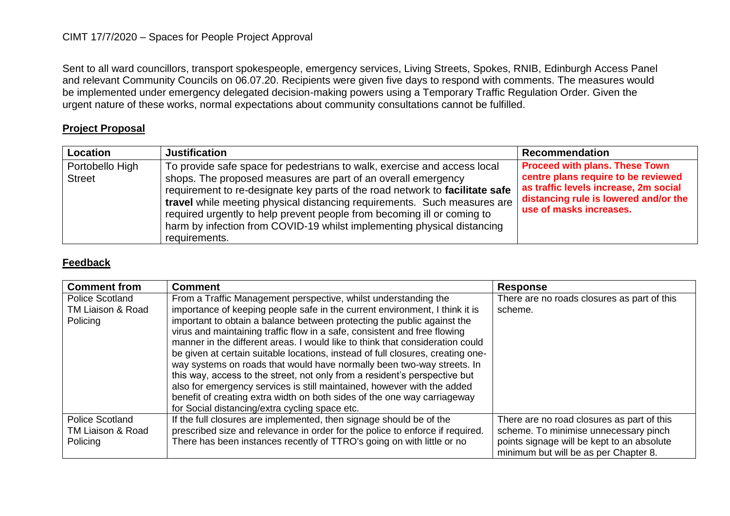## CIMT 17/7/2020 – Spaces for People Project Approval

Sent to all ward councillors, transport spokespeople, emergency services, Living Streets, Spokes, RNIB, Edinburgh Access Panel and relevant Community Councils on 06.07.20. Recipients were given five days to respond with comments. The measures would be implemented under emergency delegated decision-making powers using a Temporary Traffic Regulation Order. Given the urgent nature of these works, normal expectations about community consultations cannot be fulfilled.

## **Project Proposal**

| Location                         | <b>Justification</b>                                                                                                                                                                                                                                                                                                                                                                                                                                                         | <b>Recommendation</b>                                                                                                                                                                     |
|----------------------------------|------------------------------------------------------------------------------------------------------------------------------------------------------------------------------------------------------------------------------------------------------------------------------------------------------------------------------------------------------------------------------------------------------------------------------------------------------------------------------|-------------------------------------------------------------------------------------------------------------------------------------------------------------------------------------------|
| Portobello High<br><b>Street</b> | To provide safe space for pedestrians to walk, exercise and access local<br>shops. The proposed measures are part of an overall emergency<br>requirement to re-designate key parts of the road network to facilitate safe<br>travel while meeting physical distancing requirements. Such measures are<br>required urgently to help prevent people from becoming ill or coming to<br>harm by infection from COVID-19 whilst implementing physical distancing<br>requirements. | <b>Proceed with plans. These Town</b><br>centre plans require to be reviewed<br>as traffic levels increase, 2m social<br>distancing rule is lowered and/or the<br>use of masks increases. |

## **Feedback**

| <b>Comment from</b>                                     | <b>Comment</b>                                                                                                                                                                                                                                                                                                                                                                                                                                                                                                                                                                                                                                                                                                                                                                                                                              | <b>Response</b>                                                                                                                                                            |
|---------------------------------------------------------|---------------------------------------------------------------------------------------------------------------------------------------------------------------------------------------------------------------------------------------------------------------------------------------------------------------------------------------------------------------------------------------------------------------------------------------------------------------------------------------------------------------------------------------------------------------------------------------------------------------------------------------------------------------------------------------------------------------------------------------------------------------------------------------------------------------------------------------------|----------------------------------------------------------------------------------------------------------------------------------------------------------------------------|
| <b>Police Scotland</b><br>TM Liaison & Road<br>Policing | From a Traffic Management perspective, whilst understanding the<br>importance of keeping people safe in the current environment, I think it is<br>important to obtain a balance between protecting the public against the<br>virus and maintaining traffic flow in a safe, consistent and free flowing<br>manner in the different areas. I would like to think that consideration could<br>be given at certain suitable locations, instead of full closures, creating one-<br>way systems on roads that would have normally been two-way streets. In<br>this way, access to the street, not only from a resident's perspective but<br>also for emergency services is still maintained, however with the added<br>benefit of creating extra width on both sides of the one way carriageway<br>for Social distancing/extra cycling space etc. | There are no roads closures as part of this<br>scheme.                                                                                                                     |
| <b>Police Scotland</b><br>TM Liaison & Road<br>Policing | If the full closures are implemented, then signage should be of the<br>prescribed size and relevance in order for the police to enforce if required.<br>There has been instances recently of TTRO's going on with little or no                                                                                                                                                                                                                                                                                                                                                                                                                                                                                                                                                                                                              | There are no road closures as part of this<br>scheme. To minimise unnecessary pinch<br>points signage will be kept to an absolute<br>minimum but will be as per Chapter 8. |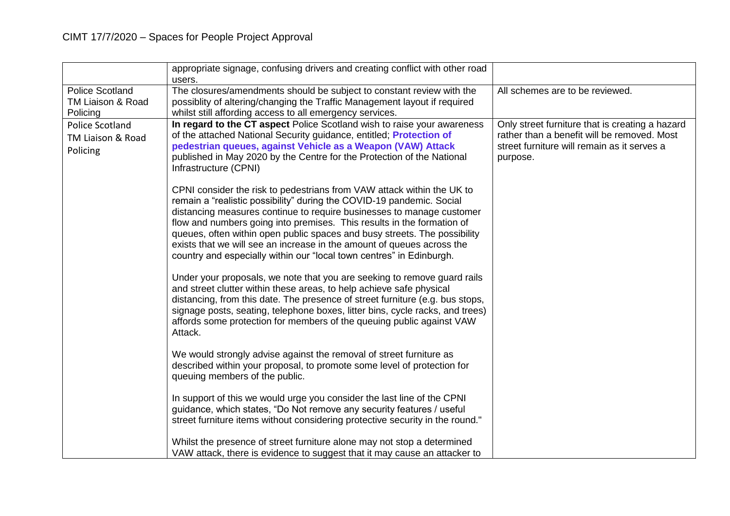|                                                         | appropriate signage, confusing drivers and creating conflict with other road<br>users.                                                                                                                                                                                                                                                                                                                                                                                                                                            |                                                                                                                                                           |
|---------------------------------------------------------|-----------------------------------------------------------------------------------------------------------------------------------------------------------------------------------------------------------------------------------------------------------------------------------------------------------------------------------------------------------------------------------------------------------------------------------------------------------------------------------------------------------------------------------|-----------------------------------------------------------------------------------------------------------------------------------------------------------|
| <b>Police Scotland</b><br>TM Liaison & Road<br>Policing | The closures/amendments should be subject to constant review with the<br>possiblity of altering/changing the Traffic Management layout if required<br>whilst still affording access to all emergency services.                                                                                                                                                                                                                                                                                                                    | All schemes are to be reviewed.                                                                                                                           |
| <b>Police Scotland</b><br>TM Liaison & Road<br>Policing | In regard to the CT aspect Police Scotland wish to raise your awareness<br>of the attached National Security guidance, entitled; Protection of<br>pedestrian queues, against Vehicle as a Weapon (VAW) Attack<br>published in May 2020 by the Centre for the Protection of the National<br>Infrastructure (CPNI)                                                                                                                                                                                                                  | Only street furniture that is creating a hazard<br>rather than a benefit will be removed. Most<br>street furniture will remain as it serves a<br>purpose. |
|                                                         | CPNI consider the risk to pedestrians from VAW attack within the UK to<br>remain a "realistic possibility" during the COVID-19 pandemic. Social<br>distancing measures continue to require businesses to manage customer<br>flow and numbers going into premises. This results in the formation of<br>queues, often within open public spaces and busy streets. The possibility<br>exists that we will see an increase in the amount of queues across the<br>country and especially within our "local town centres" in Edinburgh. |                                                                                                                                                           |
|                                                         | Under your proposals, we note that you are seeking to remove guard rails<br>and street clutter within these areas, to help achieve safe physical<br>distancing, from this date. The presence of street furniture (e.g. bus stops,<br>signage posts, seating, telephone boxes, litter bins, cycle racks, and trees)<br>affords some protection for members of the queuing public against VAW<br>Attack.                                                                                                                            |                                                                                                                                                           |
|                                                         | We would strongly advise against the removal of street furniture as<br>described within your proposal, to promote some level of protection for<br>queuing members of the public.                                                                                                                                                                                                                                                                                                                                                  |                                                                                                                                                           |
|                                                         | In support of this we would urge you consider the last line of the CPNI<br>guidance, which states, "Do Not remove any security features / useful<br>street furniture items without considering protective security in the round."                                                                                                                                                                                                                                                                                                 |                                                                                                                                                           |
|                                                         | Whilst the presence of street furniture alone may not stop a determined<br>VAW attack, there is evidence to suggest that it may cause an attacker to                                                                                                                                                                                                                                                                                                                                                                              |                                                                                                                                                           |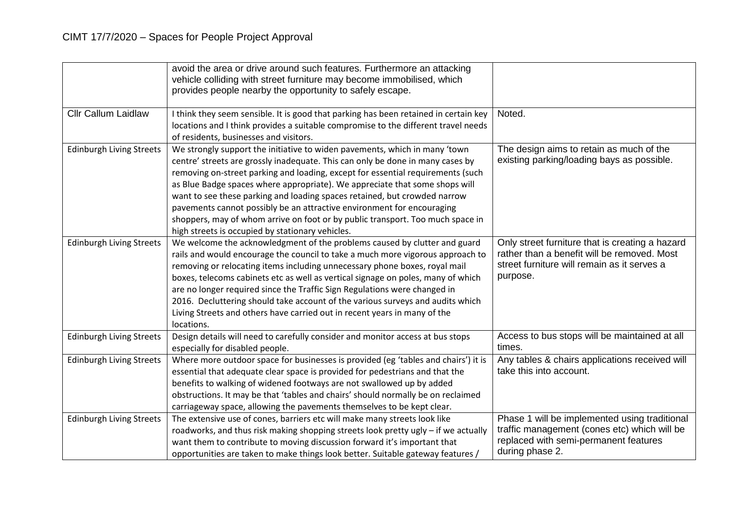|                                 | avoid the area or drive around such features. Furthermore an attacking<br>vehicle colliding with street furniture may become immobilised, which<br>provides people nearby the opportunity to safely escape.                                                                                                                                                                                                                                                                                                                                                                                                                 |                                                                                                                                                           |
|---------------------------------|-----------------------------------------------------------------------------------------------------------------------------------------------------------------------------------------------------------------------------------------------------------------------------------------------------------------------------------------------------------------------------------------------------------------------------------------------------------------------------------------------------------------------------------------------------------------------------------------------------------------------------|-----------------------------------------------------------------------------------------------------------------------------------------------------------|
| <b>Cllr Callum Laidlaw</b>      | I think they seem sensible. It is good that parking has been retained in certain key<br>locations and I think provides a suitable compromise to the different travel needs<br>of residents, businesses and visitors.                                                                                                                                                                                                                                                                                                                                                                                                        | Noted.                                                                                                                                                    |
| <b>Edinburgh Living Streets</b> | We strongly support the initiative to widen pavements, which in many 'town<br>centre' streets are grossly inadequate. This can only be done in many cases by<br>removing on-street parking and loading, except for essential requirements (such<br>as Blue Badge spaces where appropriate). We appreciate that some shops will<br>want to see these parking and loading spaces retained, but crowded narrow<br>pavements cannot possibly be an attractive environment for encouraging<br>shoppers, may of whom arrive on foot or by public transport. Too much space in<br>high streets is occupied by stationary vehicles. | The design aims to retain as much of the<br>existing parking/loading bays as possible.                                                                    |
| <b>Edinburgh Living Streets</b> | We welcome the acknowledgment of the problems caused by clutter and guard<br>rails and would encourage the council to take a much more vigorous approach to<br>removing or relocating items including unnecessary phone boxes, royal mail<br>boxes, telecoms cabinets etc as well as vertical signage on poles, many of which<br>are no longer required since the Traffic Sign Regulations were changed in<br>2016. Decluttering should take account of the various surveys and audits which<br>Living Streets and others have carried out in recent years in many of the<br>locations.                                     | Only street furniture that is creating a hazard<br>rather than a benefit will be removed. Most<br>street furniture will remain as it serves a<br>purpose. |
| <b>Edinburgh Living Streets</b> | Design details will need to carefully consider and monitor access at bus stops<br>especially for disabled people.                                                                                                                                                                                                                                                                                                                                                                                                                                                                                                           | Access to bus stops will be maintained at all<br>times.                                                                                                   |
| <b>Edinburgh Living Streets</b> | Where more outdoor space for businesses is provided (eg 'tables and chairs') it is<br>essential that adequate clear space is provided for pedestrians and that the<br>benefits to walking of widened footways are not swallowed up by added<br>obstructions. It may be that 'tables and chairs' should normally be on reclaimed<br>carriageway space, allowing the pavements themselves to be kept clear.                                                                                                                                                                                                                   | Any tables & chairs applications received will<br>take this into account.                                                                                 |
| <b>Edinburgh Living Streets</b> | The extensive use of cones, barriers etc will make many streets look like<br>roadworks, and thus risk making shopping streets look pretty ugly - if we actually<br>want them to contribute to moving discussion forward it's important that<br>opportunities are taken to make things look better. Suitable gateway features /                                                                                                                                                                                                                                                                                              | Phase 1 will be implemented using traditional<br>traffic management (cones etc) which will be<br>replaced with semi-permanent features<br>during phase 2. |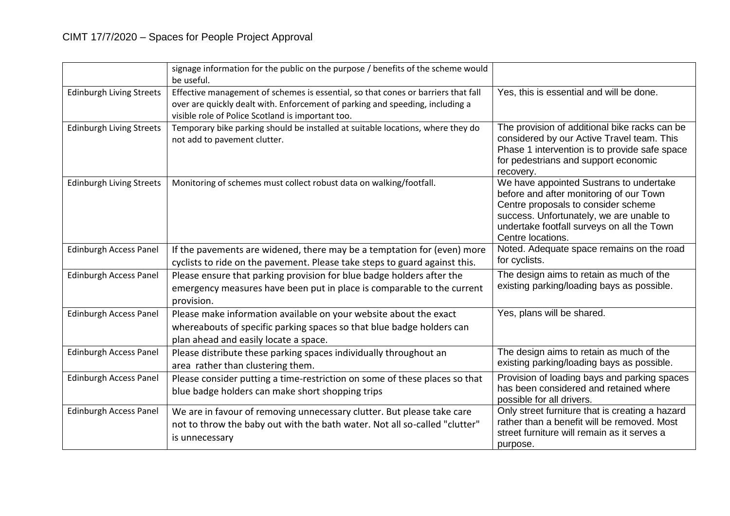|                                 | signage information for the public on the purpose / benefits of the scheme would<br>be useful.                                                                                                                          |                                                                                                                                                                                                                                          |
|---------------------------------|-------------------------------------------------------------------------------------------------------------------------------------------------------------------------------------------------------------------------|------------------------------------------------------------------------------------------------------------------------------------------------------------------------------------------------------------------------------------------|
| <b>Edinburgh Living Streets</b> | Effective management of schemes is essential, so that cones or barriers that fall<br>over are quickly dealt with. Enforcement of parking and speeding, including a<br>visible role of Police Scotland is important too. | Yes, this is essential and will be done.                                                                                                                                                                                                 |
| <b>Edinburgh Living Streets</b> | Temporary bike parking should be installed at suitable locations, where they do<br>not add to pavement clutter.                                                                                                         | The provision of additional bike racks can be<br>considered by our Active Travel team. This<br>Phase 1 intervention is to provide safe space<br>for pedestrians and support economic<br>recovery.                                        |
| <b>Edinburgh Living Streets</b> | Monitoring of schemes must collect robust data on walking/footfall.                                                                                                                                                     | We have appointed Sustrans to undertake<br>before and after monitoring of our Town<br>Centre proposals to consider scheme<br>success. Unfortunately, we are unable to<br>undertake footfall surveys on all the Town<br>Centre locations. |
| <b>Edinburgh Access Panel</b>   | If the pavements are widened, there may be a temptation for (even) more<br>cyclists to ride on the pavement. Please take steps to guard against this.                                                                   | Noted. Adequate space remains on the road<br>for cyclists.                                                                                                                                                                               |
| Edinburgh Access Panel          | Please ensure that parking provision for blue badge holders after the<br>emergency measures have been put in place is comparable to the current<br>provision.                                                           | The design aims to retain as much of the<br>existing parking/loading bays as possible.                                                                                                                                                   |
| <b>Edinburgh Access Panel</b>   | Please make information available on your website about the exact<br>whereabouts of specific parking spaces so that blue badge holders can<br>plan ahead and easily locate a space.                                     | Yes, plans will be shared.                                                                                                                                                                                                               |
| Edinburgh Access Panel          | Please distribute these parking spaces individually throughout an<br>area rather than clustering them.                                                                                                                  | The design aims to retain as much of the<br>existing parking/loading bays as possible.                                                                                                                                                   |
| <b>Edinburgh Access Panel</b>   | Please consider putting a time-restriction on some of these places so that<br>blue badge holders can make short shopping trips                                                                                          | Provision of loading bays and parking spaces<br>has been considered and retained where<br>possible for all drivers.                                                                                                                      |
| <b>Edinburgh Access Panel</b>   | We are in favour of removing unnecessary clutter. But please take care<br>not to throw the baby out with the bath water. Not all so-called "clutter"<br>is unnecessary                                                  | Only street furniture that is creating a hazard<br>rather than a benefit will be removed. Most<br>street furniture will remain as it serves a<br>purpose.                                                                                |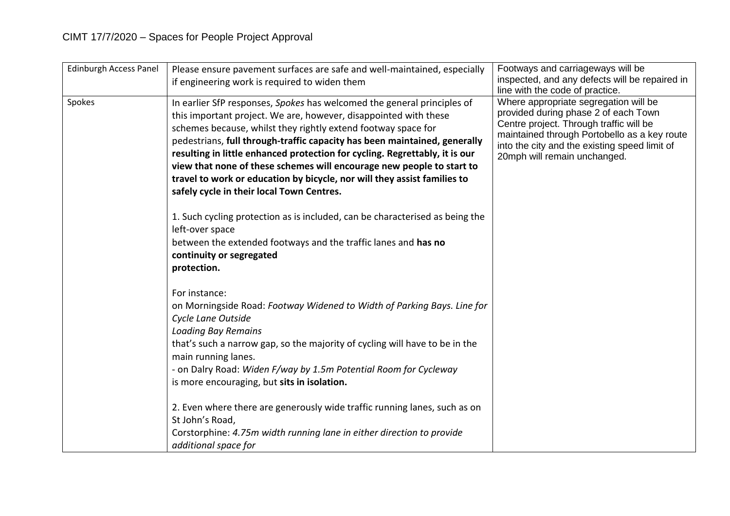| <b>Edinburgh Access Panel</b> | Please ensure pavement surfaces are safe and well-maintained, especially<br>if engineering work is required to widen them                                                                                                                                                                                                                                                                                                                                                                                                                                                  | Footways and carriageways will be<br>inspected, and any defects will be repaired in<br>line with the code of practice.                                                                                                                                    |
|-------------------------------|----------------------------------------------------------------------------------------------------------------------------------------------------------------------------------------------------------------------------------------------------------------------------------------------------------------------------------------------------------------------------------------------------------------------------------------------------------------------------------------------------------------------------------------------------------------------------|-----------------------------------------------------------------------------------------------------------------------------------------------------------------------------------------------------------------------------------------------------------|
| Spokes                        | In earlier SfP responses, Spokes has welcomed the general principles of<br>this important project. We are, however, disappointed with these<br>schemes because, whilst they rightly extend footway space for<br>pedestrians, full through-traffic capacity has been maintained, generally<br>resulting in little enhanced protection for cycling. Regrettably, it is our<br>view that none of these schemes will encourage new people to start to<br>travel to work or education by bicycle, nor will they assist families to<br>safely cycle in their local Town Centres. | Where appropriate segregation will be<br>provided during phase 2 of each Town<br>Centre project. Through traffic will be<br>maintained through Portobello as a key route<br>into the city and the existing speed limit of<br>20mph will remain unchanged. |
|                               | 1. Such cycling protection as is included, can be characterised as being the<br>left-over space<br>between the extended footways and the traffic lanes and has no<br>continuity or segregated<br>protection.                                                                                                                                                                                                                                                                                                                                                               |                                                                                                                                                                                                                                                           |
|                               | For instance:<br>on Morningside Road: Footway Widened to Width of Parking Bays. Line for<br>Cycle Lane Outside<br><b>Loading Bay Remains</b><br>that's such a narrow gap, so the majority of cycling will have to be in the<br>main running lanes.<br>- on Dalry Road: Widen F/way by 1.5m Potential Room for Cycleway<br>is more encouraging, but sits in isolation.                                                                                                                                                                                                      |                                                                                                                                                                                                                                                           |
|                               | 2. Even where there are generously wide traffic running lanes, such as on<br>St John's Road,<br>Corstorphine: 4.75m width running lane in either direction to provide<br>additional space for                                                                                                                                                                                                                                                                                                                                                                              |                                                                                                                                                                                                                                                           |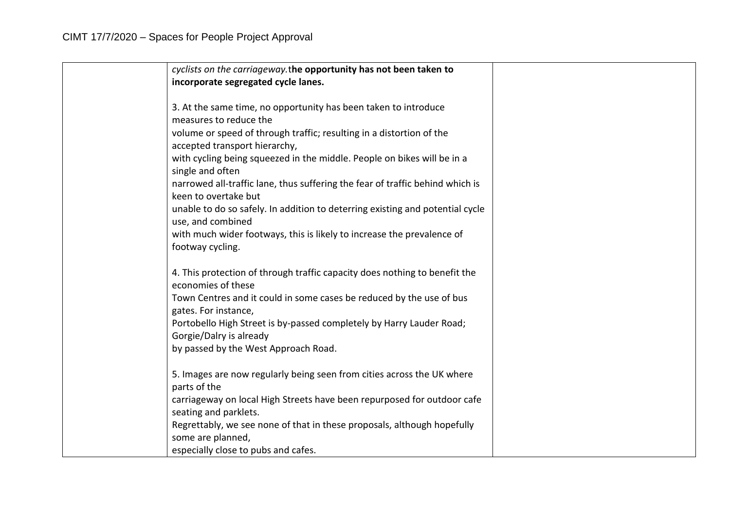| cyclists on the carriageway.the opportunity has not been taken to                                     |  |
|-------------------------------------------------------------------------------------------------------|--|
| incorporate segregated cycle lanes.                                                                   |  |
|                                                                                                       |  |
| 3. At the same time, no opportunity has been taken to introduce                                       |  |
| measures to reduce the                                                                                |  |
| volume or speed of through traffic; resulting in a distortion of the                                  |  |
| accepted transport hierarchy,                                                                         |  |
| with cycling being squeezed in the middle. People on bikes will be in a<br>single and often           |  |
| narrowed all-traffic lane, thus suffering the fear of traffic behind which is<br>keen to overtake but |  |
| unable to do so safely. In addition to deterring existing and potential cycle<br>use, and combined    |  |
| with much wider footways, this is likely to increase the prevalence of<br>footway cycling.            |  |
|                                                                                                       |  |
| 4. This protection of through traffic capacity does nothing to benefit the<br>economies of these      |  |
| Town Centres and it could in some cases be reduced by the use of bus                                  |  |
| gates. For instance,                                                                                  |  |
| Portobello High Street is by-passed completely by Harry Lauder Road;                                  |  |
| Gorgie/Dalry is already                                                                               |  |
| by passed by the West Approach Road.                                                                  |  |
| 5. Images are now regularly being seen from cities across the UK where                                |  |
| parts of the                                                                                          |  |
| carriageway on local High Streets have been repurposed for outdoor cafe                               |  |
| seating and parklets.                                                                                 |  |
| Regrettably, we see none of that in these proposals, although hopefully<br>some are planned,          |  |
| especially close to pubs and cafes.                                                                   |  |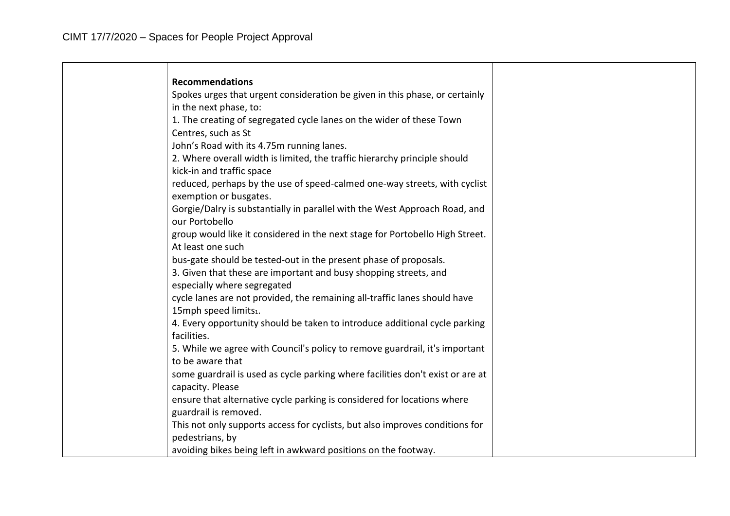| <b>Recommendations</b>                                                         |
|--------------------------------------------------------------------------------|
| Spokes urges that urgent consideration be given in this phase, or certainly    |
| in the next phase, to:                                                         |
| 1. The creating of segregated cycle lanes on the wider of these Town           |
| Centres, such as St                                                            |
| John's Road with its 4.75m running lanes.                                      |
| 2. Where overall width is limited, the traffic hierarchy principle should      |
| kick-in and traffic space                                                      |
| reduced, perhaps by the use of speed-calmed one-way streets, with cyclist      |
| exemption or busgates.                                                         |
| Gorgie/Dalry is substantially in parallel with the West Approach Road, and     |
| our Portobello                                                                 |
| group would like it considered in the next stage for Portobello High Street.   |
| At least one such                                                              |
| bus-gate should be tested-out in the present phase of proposals.               |
| 3. Given that these are important and busy shopping streets, and               |
| especially where segregated                                                    |
| cycle lanes are not provided, the remaining all-traffic lanes should have      |
| 15mph speed limits1.                                                           |
| 4. Every opportunity should be taken to introduce additional cycle parking     |
| facilities.                                                                    |
| 5. While we agree with Council's policy to remove guardrail, it's important    |
| to be aware that                                                               |
| some guardrail is used as cycle parking where facilities don't exist or are at |
| capacity. Please                                                               |
| ensure that alternative cycle parking is considered for locations where        |
| guardrail is removed.                                                          |
| This not only supports access for cyclists, but also improves conditions for   |
| pedestrians, by                                                                |
| avoiding bikes being left in awkward positions on the footway.                 |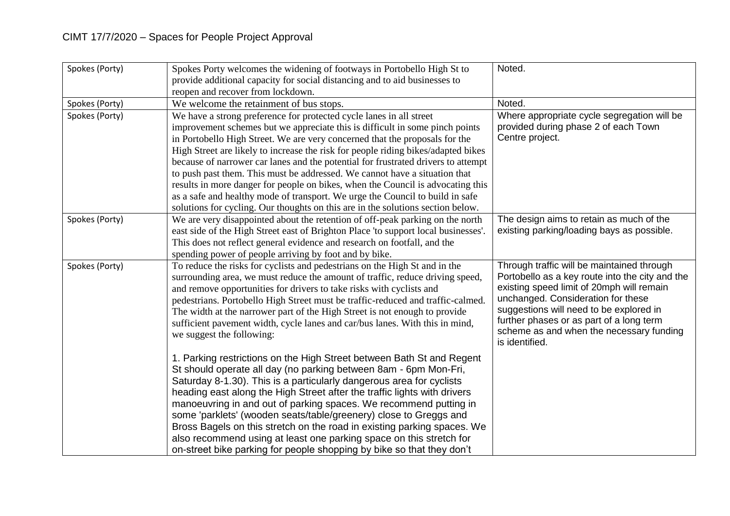| Spokes (Porty) | Spokes Porty welcomes the widening of footways in Portobello High St to            | Noted.                                          |
|----------------|------------------------------------------------------------------------------------|-------------------------------------------------|
|                | provide additional capacity for social distancing and to aid businesses to         |                                                 |
|                | reopen and recover from lockdown.                                                  |                                                 |
| Spokes (Porty) | We welcome the retainment of bus stops.                                            | Noted.                                          |
| Spokes (Porty) | We have a strong preference for protected cycle lanes in all street                | Where appropriate cycle segregation will be     |
|                | improvement schemes but we appreciate this is difficult in some pinch points       | provided during phase 2 of each Town            |
|                | in Portobello High Street. We are very concerned that the proposals for the        | Centre project.                                 |
|                | High Street are likely to increase the risk for people riding bikes/adapted bikes  |                                                 |
|                | because of narrower car lanes and the potential for frustrated drivers to attempt  |                                                 |
|                | to push past them. This must be addressed. We cannot have a situation that         |                                                 |
|                | results in more danger for people on bikes, when the Council is advocating this    |                                                 |
|                | as a safe and healthy mode of transport. We urge the Council to build in safe      |                                                 |
|                | solutions for cycling. Our thoughts on this are in the solutions section below.    |                                                 |
| Spokes (Porty) | We are very disappointed about the retention of off-peak parking on the north      | The design aims to retain as much of the        |
|                | east side of the High Street east of Brighton Place 'to support local businesses'. | existing parking/loading bays as possible.      |
|                | This does not reflect general evidence and research on footfall, and the           |                                                 |
|                | spending power of people arriving by foot and by bike.                             |                                                 |
| Spokes (Porty) | To reduce the risks for cyclists and pedestrians on the High St and in the         | Through traffic will be maintained through      |
|                | surrounding area, we must reduce the amount of traffic, reduce driving speed,      | Portobello as a key route into the city and the |
|                | and remove opportunities for drivers to take risks with cyclists and               | existing speed limit of 20mph will remain       |
|                | pedestrians. Portobello High Street must be traffic-reduced and traffic-calmed.    | unchanged. Consideration for these              |
|                | The width at the narrower part of the High Street is not enough to provide         | suggestions will need to be explored in         |
|                | sufficient pavement width, cycle lanes and car/bus lanes. With this in mind,       | further phases or as part of a long term        |
|                | we suggest the following:                                                          | scheme as and when the necessary funding        |
|                |                                                                                    | is identified.                                  |
|                | 1. Parking restrictions on the High Street between Bath St and Regent              |                                                 |
|                | St should operate all day (no parking between 8am - 6pm Mon-Fri,                   |                                                 |
|                | Saturday 8-1.30). This is a particularly dangerous area for cyclists               |                                                 |
|                | heading east along the High Street after the traffic lights with drivers           |                                                 |
|                | manoeuvring in and out of parking spaces. We recommend putting in                  |                                                 |
|                | some 'parklets' (wooden seats/table/greenery) close to Greggs and                  |                                                 |
|                | Bross Bagels on this stretch on the road in existing parking spaces. We            |                                                 |
|                | also recommend using at least one parking space on this stretch for                |                                                 |
|                | on-street bike parking for people shopping by bike so that they don't              |                                                 |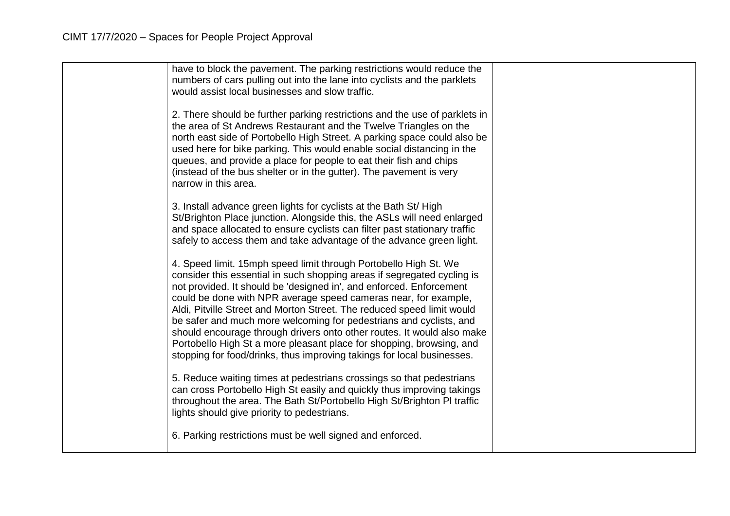| have to block the pavement. The parking restrictions would reduce the<br>numbers of cars pulling out into the lane into cyclists and the parklets<br>would assist local businesses and slow traffic.<br>2. There should be further parking restrictions and the use of parklets in<br>the area of St Andrews Restaurant and the Twelve Triangles on the<br>north east side of Portobello High Street. A parking space could also be<br>used here for bike parking. This would enable social distancing in the<br>queues, and provide a place for people to eat their fish and chips                                                                               |  |
|-------------------------------------------------------------------------------------------------------------------------------------------------------------------------------------------------------------------------------------------------------------------------------------------------------------------------------------------------------------------------------------------------------------------------------------------------------------------------------------------------------------------------------------------------------------------------------------------------------------------------------------------------------------------|--|
| (instead of the bus shelter or in the gutter). The pavement is very<br>narrow in this area.                                                                                                                                                                                                                                                                                                                                                                                                                                                                                                                                                                       |  |
| 3. Install advance green lights for cyclists at the Bath St/ High<br>St/Brighton Place junction. Alongside this, the ASLs will need enlarged<br>and space allocated to ensure cyclists can filter past stationary traffic<br>safely to access them and take advantage of the advance green light.                                                                                                                                                                                                                                                                                                                                                                 |  |
| 4. Speed limit. 15mph speed limit through Portobello High St. We<br>consider this essential in such shopping areas if segregated cycling is<br>not provided. It should be 'designed in', and enforced. Enforcement<br>could be done with NPR average speed cameras near, for example,<br>Aldi, Pitville Street and Morton Street. The reduced speed limit would<br>be safer and much more welcoming for pedestrians and cyclists, and<br>should encourage through drivers onto other routes. It would also make<br>Portobello High St a more pleasant place for shopping, browsing, and<br>stopping for food/drinks, thus improving takings for local businesses. |  |
| 5. Reduce waiting times at pedestrians crossings so that pedestrians<br>can cross Portobello High St easily and quickly thus improving takings<br>throughout the area. The Bath St/Portobello High St/Brighton PI traffic<br>lights should give priority to pedestrians.                                                                                                                                                                                                                                                                                                                                                                                          |  |
| 6. Parking restrictions must be well signed and enforced.                                                                                                                                                                                                                                                                                                                                                                                                                                                                                                                                                                                                         |  |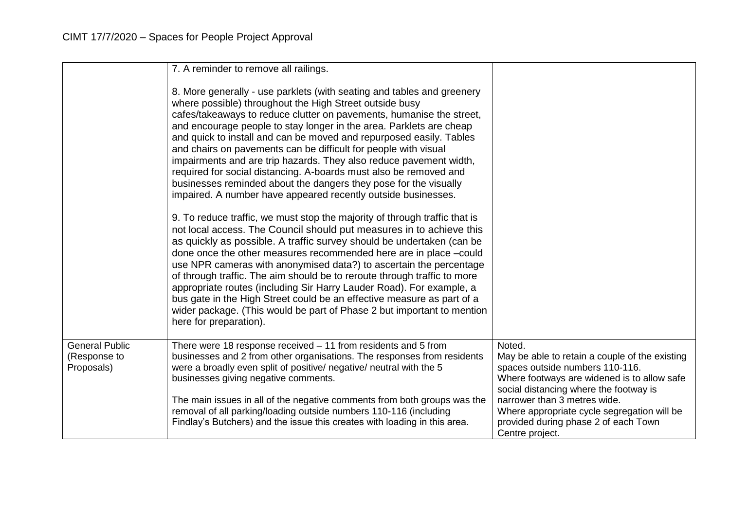|                                                     | 7. A reminder to remove all railings.<br>8. More generally - use parklets (with seating and tables and greenery<br>where possible) throughout the High Street outside busy<br>cafes/takeaways to reduce clutter on pavements, humanise the street,<br>and encourage people to stay longer in the area. Parklets are cheap<br>and quick to install and can be moved and repurposed easily. Tables<br>and chairs on pavements can be difficult for people with visual<br>impairments and are trip hazards. They also reduce pavement width,<br>required for social distancing. A-boards must also be removed and<br>businesses reminded about the dangers they pose for the visually<br>impaired. A number have appeared recently outside businesses.<br>9. To reduce traffic, we must stop the majority of through traffic that is<br>not local access. The Council should put measures in to achieve this |                                                                                                                                                                                                                                                                                                                                |
|-----------------------------------------------------|-----------------------------------------------------------------------------------------------------------------------------------------------------------------------------------------------------------------------------------------------------------------------------------------------------------------------------------------------------------------------------------------------------------------------------------------------------------------------------------------------------------------------------------------------------------------------------------------------------------------------------------------------------------------------------------------------------------------------------------------------------------------------------------------------------------------------------------------------------------------------------------------------------------|--------------------------------------------------------------------------------------------------------------------------------------------------------------------------------------------------------------------------------------------------------------------------------------------------------------------------------|
|                                                     | as quickly as possible. A traffic survey should be undertaken (can be<br>done once the other measures recommended here are in place -could<br>use NPR cameras with anonymised data?) to ascertain the percentage<br>of through traffic. The aim should be to reroute through traffic to more<br>appropriate routes (including Sir Harry Lauder Road). For example, a<br>bus gate in the High Street could be an effective measure as part of a<br>wider package. (This would be part of Phase 2 but important to mention<br>here for preparation).                                                                                                                                                                                                                                                                                                                                                        |                                                                                                                                                                                                                                                                                                                                |
| <b>General Public</b><br>(Response to<br>Proposals) | There were 18 response received - 11 from residents and 5 from<br>businesses and 2 from other organisations. The responses from residents<br>were a broadly even split of positive/ negative/ neutral with the 5<br>businesses giving negative comments.<br>The main issues in all of the negative comments from both groups was the<br>removal of all parking/loading outside numbers 110-116 (including<br>Findlay's Butchers) and the issue this creates with loading in this area.                                                                                                                                                                                                                                                                                                                                                                                                                    | Noted.<br>May be able to retain a couple of the existing<br>spaces outside numbers 110-116.<br>Where footways are widened is to allow safe<br>social distancing where the footway is<br>narrower than 3 metres wide.<br>Where appropriate cycle segregation will be<br>provided during phase 2 of each Town<br>Centre project. |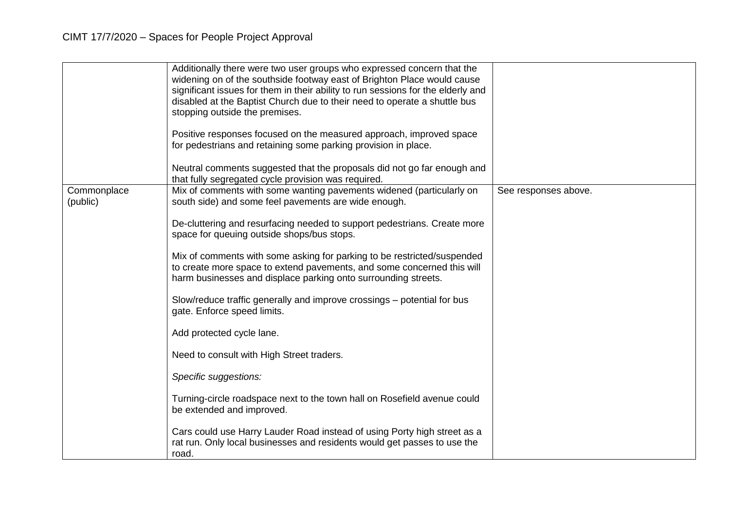|                         | Additionally there were two user groups who expressed concern that the<br>widening on of the southside footway east of Brighton Place would cause<br>significant issues for them in their ability to run sessions for the elderly and<br>disabled at the Baptist Church due to their need to operate a shuttle bus<br>stopping outside the premises. |                      |
|-------------------------|------------------------------------------------------------------------------------------------------------------------------------------------------------------------------------------------------------------------------------------------------------------------------------------------------------------------------------------------------|----------------------|
|                         | Positive responses focused on the measured approach, improved space<br>for pedestrians and retaining some parking provision in place.                                                                                                                                                                                                                |                      |
|                         | Neutral comments suggested that the proposals did not go far enough and<br>that fully segregated cycle provision was required.                                                                                                                                                                                                                       |                      |
| Commonplace<br>(public) | Mix of comments with some wanting pavements widened (particularly on<br>south side) and some feel pavements are wide enough.                                                                                                                                                                                                                         | See responses above. |
|                         | De-cluttering and resurfacing needed to support pedestrians. Create more<br>space for queuing outside shops/bus stops.                                                                                                                                                                                                                               |                      |
|                         | Mix of comments with some asking for parking to be restricted/suspended<br>to create more space to extend pavements, and some concerned this will<br>harm businesses and displace parking onto surrounding streets.                                                                                                                                  |                      |
|                         | Slow/reduce traffic generally and improve crossings - potential for bus<br>gate. Enforce speed limits.                                                                                                                                                                                                                                               |                      |
|                         | Add protected cycle lane.                                                                                                                                                                                                                                                                                                                            |                      |
|                         | Need to consult with High Street traders.                                                                                                                                                                                                                                                                                                            |                      |
|                         | Specific suggestions:                                                                                                                                                                                                                                                                                                                                |                      |
|                         | Turning-circle roadspace next to the town hall on Rosefield avenue could<br>be extended and improved.                                                                                                                                                                                                                                                |                      |
|                         | Cars could use Harry Lauder Road instead of using Porty high street as a<br>rat run. Only local businesses and residents would get passes to use the<br>road.                                                                                                                                                                                        |                      |